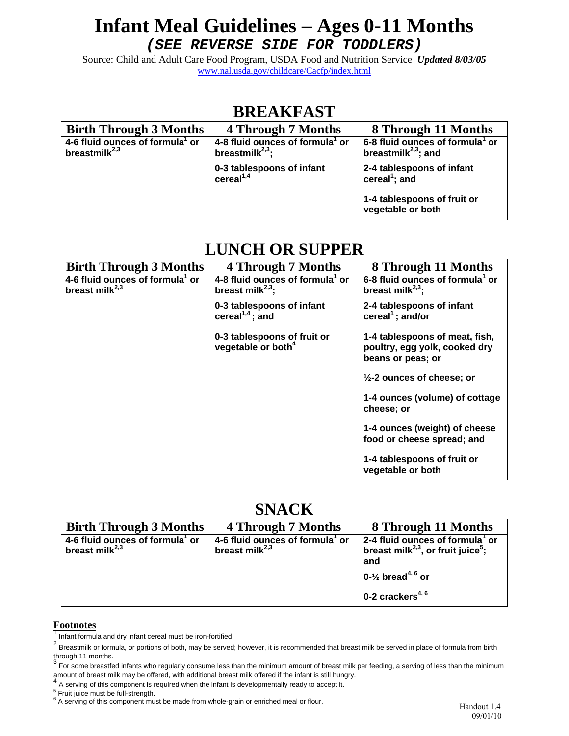# **Infant Meal Guidelines – Ages 0-11 Months**

*(SEE REVERSE SIDE FOR TODDLERS)* 

Source: Child and Adult Care Food Program, USDA Food and Nutrition Service *Updated 8/03/05*  www.nal.usda.gov/childcare/Cacfp/index.html

| <b>Birth Through 3 Months</b>                                      | 4 Through 7 Months                                                         | 8 Through 11 Months                                                      |
|--------------------------------------------------------------------|----------------------------------------------------------------------------|--------------------------------------------------------------------------|
| 4-6 fluid ounces of formula <sup>1</sup> or<br>breastmilk $^{2,3}$ | 4-8 fluid ounces of formula <sup>1</sup> or<br>breastmilk <sup>2,3</sup> ; | 6-8 fluid ounces of formula <sup>1</sup> or<br>breastmilk $^{2,3}$ ; and |
|                                                                    | 0-3 tablespoons of infant<br>cereal <sup>1,4</sup>                         | 2-4 tablespoons of infant<br>cereal <sup>1</sup> ; and                   |
|                                                                    |                                                                            | 1-4 tablespoons of fruit or<br>vegetable or both                         |

### **BREAKFAST**

# **LUNCH OR SUPPER**

| <b>Birth Through 3 Months</b>                                       | <b>4 Through 7 Months</b>                                             | 8 Through 11 Months                                                                  |
|---------------------------------------------------------------------|-----------------------------------------------------------------------|--------------------------------------------------------------------------------------|
| 4-6 fluid ounces of formula <sup>1</sup> or<br>breast milk $^{2,3}$ | 4-8 fluid ounces of formula <sup>1</sup> or<br>breast milk $^{2,3}$ ; | 6-8 fluid ounces of formula <sup>1</sup> or<br>breast milk <sup>2,3</sup> ;          |
|                                                                     | 0-3 tablespoons of infant<br>cereal $^{1,4}$ ; and                    | 2-4 tablespoons of infant<br>$\text{cereal}^1$ ; and/or                              |
|                                                                     | 0-3 tablespoons of fruit or<br>vegetable or both <sup>4</sup>         | 1-4 tablespoons of meat, fish,<br>poultry, egg yolk, cooked dry<br>beans or peas; or |
|                                                                     |                                                                       | $\frac{1}{2}$ -2 ounces of cheese; or                                                |
|                                                                     |                                                                       | 1-4 ounces (volume) of cottage<br>cheese; or                                         |
|                                                                     |                                                                       | 1-4 ounces (weight) of cheese<br>food or cheese spread; and                          |
|                                                                     |                                                                       | 1-4 tablespoons of fruit or<br>vegetable or both                                     |

## **SNACK**

| <b>Birth Through 3 Months</b>                                       | 4 Through 7 Months                                                  | 8 Through 11 Months                                                                                              |
|---------------------------------------------------------------------|---------------------------------------------------------------------|------------------------------------------------------------------------------------------------------------------|
| 4-6 fluid ounces of formula <sup>1</sup> or<br>breast milk $^{2,3}$ | 4-6 fluid ounces of formula <sup>1</sup> or<br>breast milk $^{2,3}$ | 2-4 fluid ounces of formula <sup>1</sup> or<br>breast milk <sup>2,3</sup> , or fruit juice <sup>5</sup> ;<br>and |
|                                                                     |                                                                     | $0 - \frac{1}{2}$ bread <sup>4, 6</sup> or                                                                       |
|                                                                     |                                                                     | 0-2 crackers $4,6$                                                                                               |

#### **Footnotes**

1 Infant formula and dry infant cereal must be iron-fortified.

 $^2$  Breastmilk or formula, or portions of both, may be served; however, it is recommended that breast milk be served in place of formula from birth

through 11 months.<br><sup>3</sup> For some breastfed infants who regularly consume less than the minimum amount of breast milk per feeding, a serving of less than the minimum amount of breast milk may be offered, with additional breast milk offered if the infant is still hungry.<br><sup>4</sup> A serving of this component is required when the infant is developmentally ready to accept it.

<sup>5</sup> Fruit juice must be full-strength.

<sup>6</sup> A serving of this component must be made from whole-grain or enriched meal or flour.<br>Handout 1.4